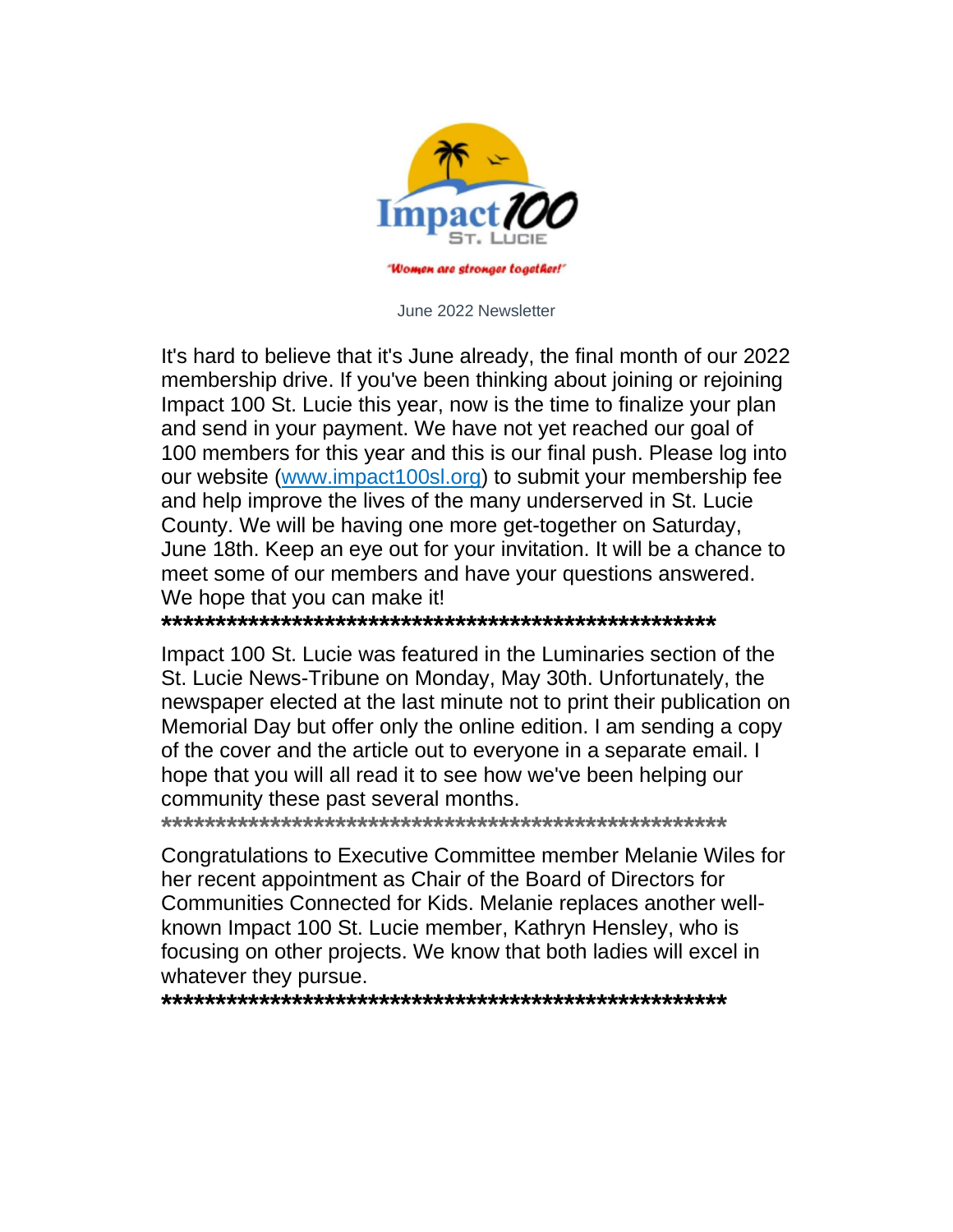

June 2022 Newsletter

It's hard to believe that it's June already, the final month of our 2022 membership drive. If you've been thinking about joining or rejoining Impact 100 St. Lucie this year, now is the time to finalize your plan and send in your payment. We have not yet reached our goal of 100 members for this year and this is our final push. Please log into our website (www.impact100sl.org) to submit your membership fee and help improve the lives of the many underserved in St. Lucie County. We will be having one more get-together on Saturday, June 18th. Keep an eye out for your invitation. It will be a chance to meet some of our members and have your questions answered. We hope that you can make it!

Impact 100 St. Lucie was featured in the Luminaries section of the St. Lucie News-Tribune on Monday, May 30th. Unfortunately, the newspaper elected at the last minute not to print their publication on Memorial Day but offer only the online edition. I am sending a copy of the cover and the article out to everyone in a separate email. I hope that you will all read it to see how we've been helping our community these past several months.

Congratulations to Executive Committee member Melanie Wiles for her recent appointment as Chair of the Board of Directors for Communities Connected for Kids. Melanie replaces another wellknown Impact 100 St. Lucie member, Kathryn Hensley, who is focusing on other projects. We know that both ladies will excel in whatever they pursue.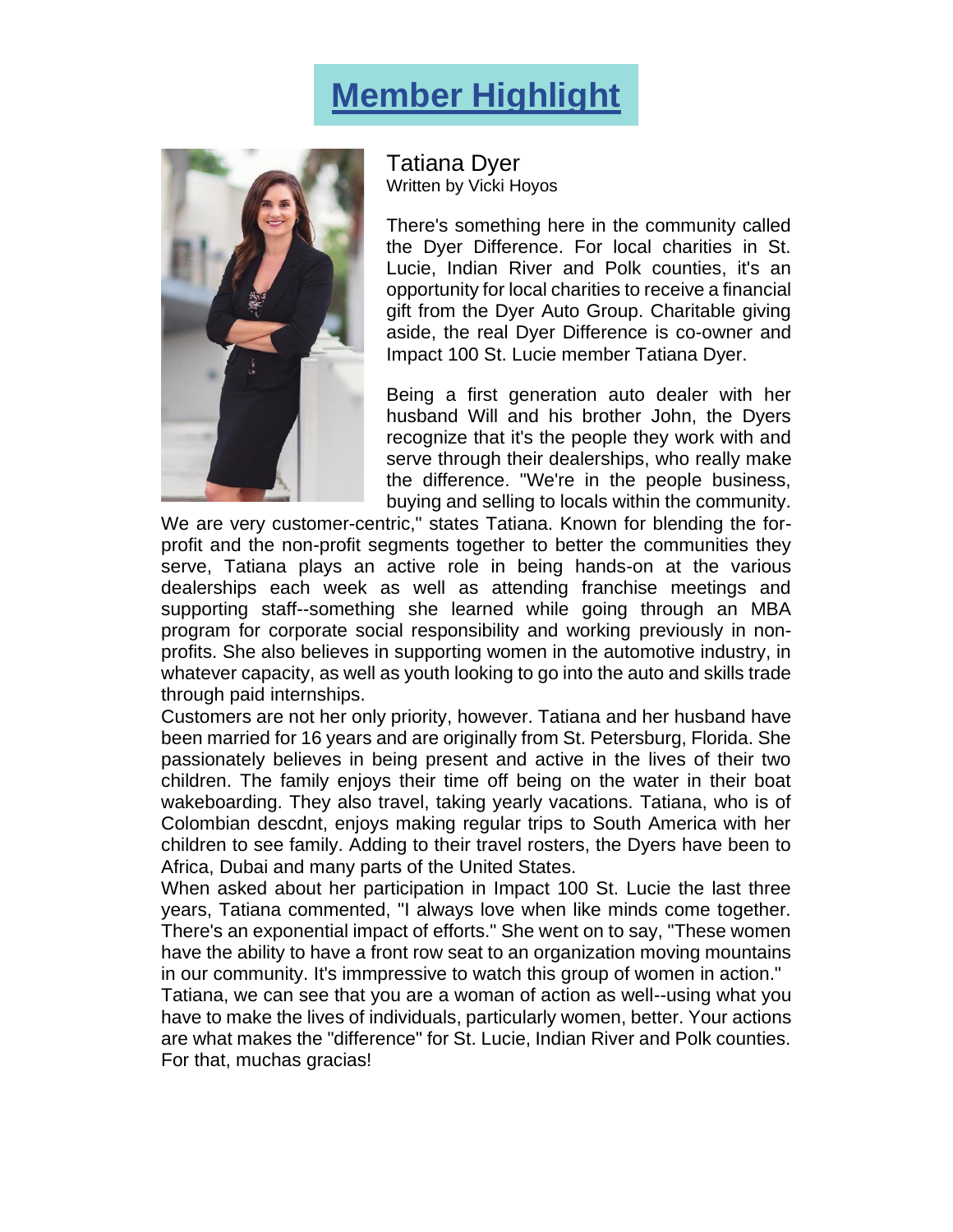## **Member Highlight**



Tatiana Dyer Written by Vicki Hoyos

There's something here in the community called the Dyer Difference. For local charities in St. Lucie, Indian River and Polk counties, it's an opportunity for local charities to receive a financial gift from the Dyer Auto Group. Charitable giving aside, the real Dyer Difference is co-owner and Impact 100 St. Lucie member Tatiana Dyer.

Being a first generation auto dealer with her husband Will and his brother John, the Dyers recognize that it's the people they work with and serve through their dealerships, who really make the difference. "We're in the people business, buying and selling to locals within the community.

We are very customer-centric," states Tatiana. Known for blending the forprofit and the non-profit segments together to better the communities they serve, Tatiana plays an active role in being hands-on at the various dealerships each week as well as attending franchise meetings and supporting staff--something she learned while going through an MBA program for corporate social responsibility and working previously in nonprofits. She also believes in supporting women in the automotive industry, in whatever capacity, as well as youth looking to go into the auto and skills trade through paid internships.

Customers are not her only priority, however. Tatiana and her husband have been married for 16 years and are originally from St. Petersburg, Florida. She passionately believes in being present and active in the lives of their two children. The family enjoys their time off being on the water in their boat wakeboarding. They also travel, taking yearly vacations. Tatiana, who is of Colombian descdnt, enjoys making regular trips to South America with her children to see family. Adding to their travel rosters, the Dyers have been to Africa, Dubai and many parts of the United States.

When asked about her participation in Impact 100 St. Lucie the last three years, Tatiana commented, "I always love when like minds come together. There's an exponential impact of efforts." She went on to say, "These women have the ability to have a front row seat to an organization moving mountains in our community. It's immpressive to watch this group of women in action."

Tatiana, we can see that you are a woman of action as well--using what you have to make the lives of individuals, particularly women, better. Your actions are what makes the "difference" for St. Lucie, Indian River and Polk counties. For that, muchas gracias!